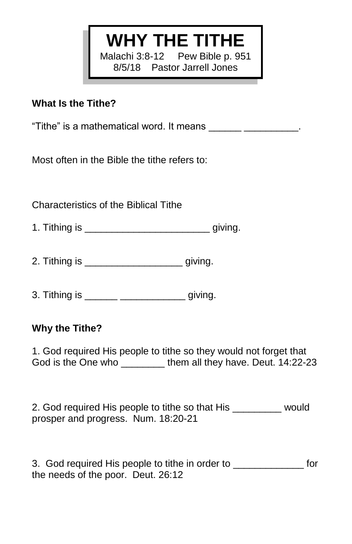# **WHY THE TITHE**

Malachi 3:8-12 Pew Bible p. 951 8/5/18 Pastor Jarrell Jones

### **What Is the Tithe?**

"Tithe" is a mathematical word. It means \_\_\_\_\_\_\_\_\_\_\_\_\_\_\_\_\_\_\_.

Most often in the Bible the tithe refers to:

Characteristics of the Biblical Tithe

- 1. Tithing is \_\_\_\_\_\_\_\_\_\_\_\_\_\_\_\_\_\_\_\_\_\_\_ giving.
- 2. Tithing is \_\_\_\_\_\_\_\_\_\_\_\_\_\_\_\_\_\_ giving.
- 3. Tithing is \_\_\_\_\_\_ \_\_\_\_\_\_\_\_\_\_\_\_ giving.

# **Why the Tithe?**

1. God required His people to tithe so they would not forget that God is the One who \_\_\_\_\_\_\_\_\_ them all they have. Deut. 14:22-23

2. God required His people to tithe so that His would prosper and progress. Num. 18:20-21

3. God required His people to tithe in order to \_\_\_\_\_\_\_\_\_\_\_\_\_ for the needs of the poor. Deut. 26:12